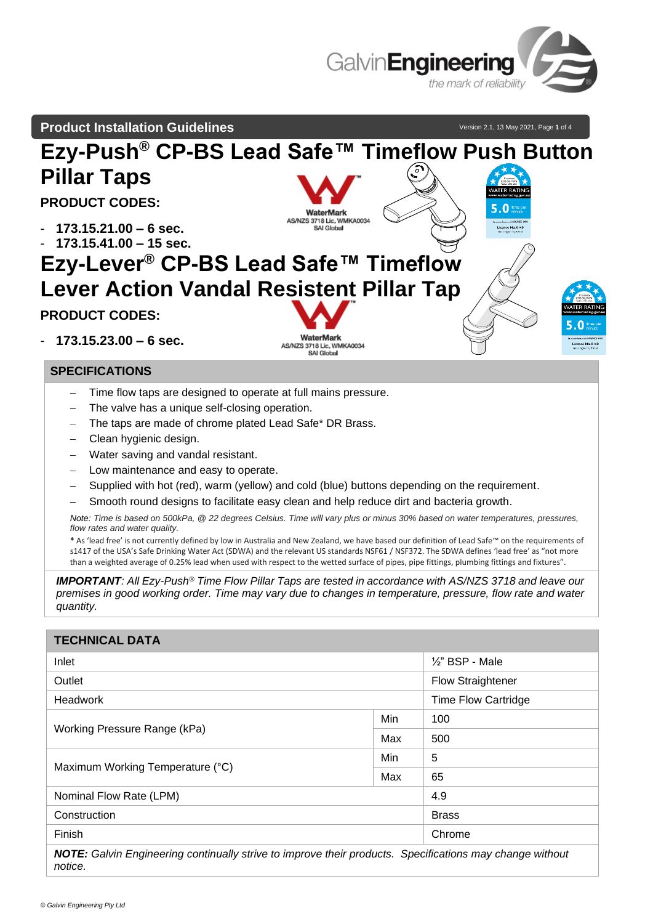

## **Product Installation Guidelines**

Version 2.1, 13 May 2021, Page 1 of 4



## **SPECIFICATIONS**

- Time flow taps are designed to operate at full mains pressure.
- The valve has a unique self-closing operation.
- The taps are made of chrome plated Lead Safe\* DR Brass.
- − Clean hygienic design.
- Water saving and vandal resistant.
- Low maintenance and easy to operate.
- Supplied with hot (red), warm (yellow) and cold (blue) buttons depending on the requirement.
- Smooth round designs to facilitate easy clean and help reduce dirt and bacteria growth.

*Note: Time is based on 500kPa, @ 22 degrees Celsius. Time will vary plus or minus 30% based on water temperatures, pressures, flow rates and water quality.*

**\*** As 'lead free' is not currently defined by low in Australia and New Zealand, we have based our definition of Lead Safe™ on the requirements of s1417 of the USA's Safe Drinking Water Act (SDWA) and the relevant US standards NSF61 / NSF372. The SDWA defines 'lead free' as "not more than a weighted average of 0.25% lead when used with respect to the wetted surface of pipes, pipe fittings, plumbing fittings and fixtures".

*IMPORTANT: All Ezy-Push® Time Flow Pillar Taps are tested in accordance with AS/NZS 3718 and leave our premises in good working order. Time may vary due to changes in temperature, pressure, flow rate and water quantity.*

| <b>TECHNICAL DATA</b>                                                                                    |     |                            |  |  |
|----------------------------------------------------------------------------------------------------------|-----|----------------------------|--|--|
| Inlet                                                                                                    |     | $\frac{1}{2}$ " BSP - Male |  |  |
| Outlet                                                                                                   |     | <b>Flow Straightener</b>   |  |  |
| <b>Headwork</b>                                                                                          |     | <b>Time Flow Cartridge</b> |  |  |
| Working Pressure Range (kPa)                                                                             | Min | 100                        |  |  |
|                                                                                                          | Max | 500                        |  |  |
| Maximum Working Temperature (°C)                                                                         | Min | 5                          |  |  |
|                                                                                                          | Max | 65                         |  |  |
| Nominal Flow Rate (LPM)                                                                                  |     | 4.9                        |  |  |
| Construction                                                                                             |     | <b>Brass</b>               |  |  |
| Finish                                                                                                   |     | Chrome                     |  |  |
| NOTE: Calvin Engineering continually strive to improve their products. Specifications may change without |     |                            |  |  |

*Nvin Engineering continually strive to improve their products. Specifications may change without notice.*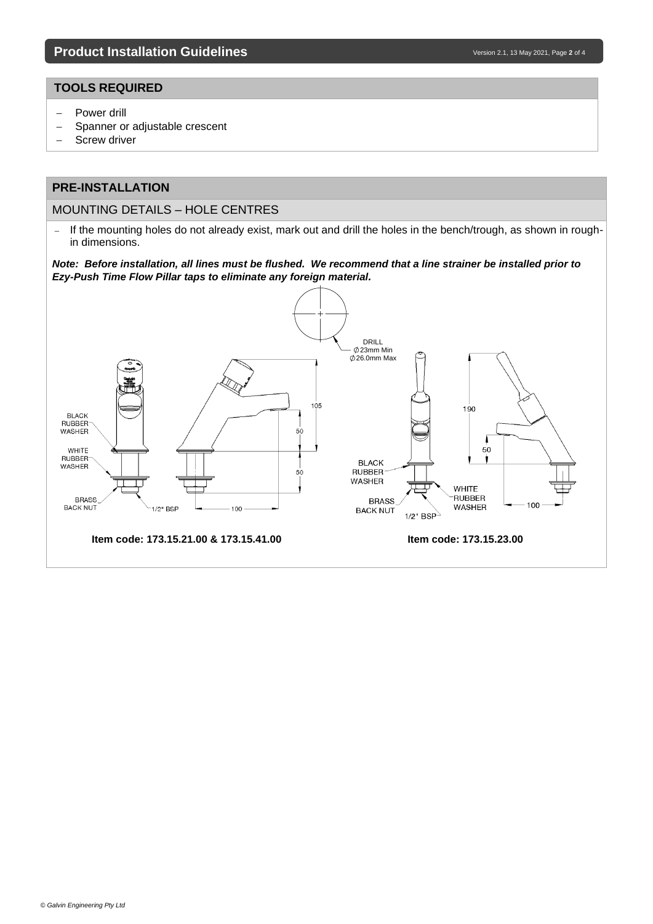## **TOOLS REQUIRED**

- − Power drill
- − Spanner or adjustable crescent
- − Screw driver

# **PRE-INSTALLATION**

### MOUNTING DETAILS – HOLE CENTRES

− If the mounting holes do not already exist, mark out and drill the holes in the bench/trough, as shown in roughin dimensions.

*Note: Before installation, all lines must be flushed. We recommend that a line strainer be installed prior to Ezy-Push Time Flow Pillar taps to eliminate any foreign material.*

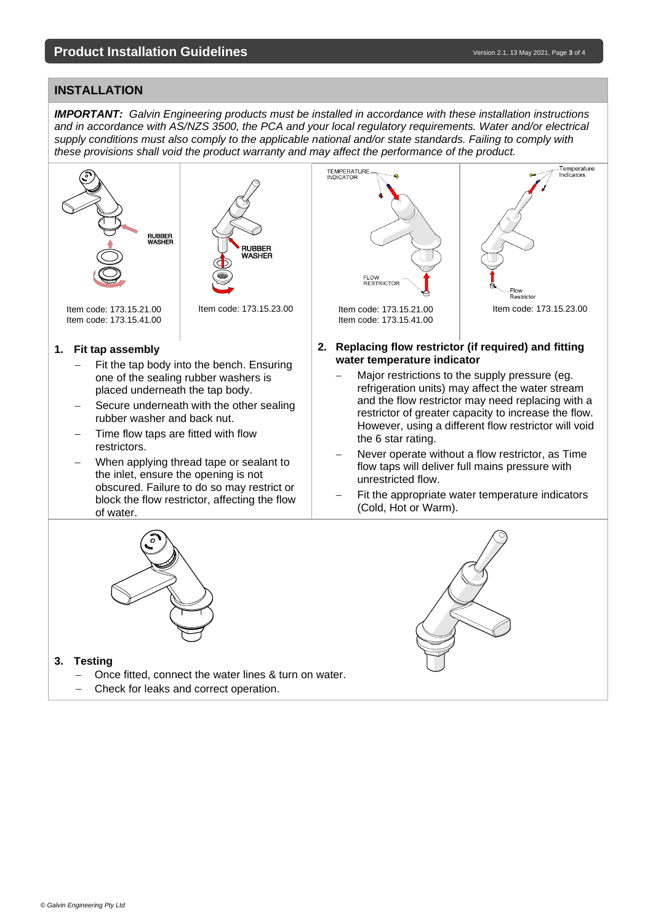## **INSTALLATION**

*IMPORTANT: Galvin Engineering products must be installed in accordance with these installation instructions and in accordance with AS/NZS 3500, the PCA and your local regulatory requirements. Water and/or electrical supply conditions must also comply to the applicable national and/or state standards. Failing to comply with these provisions shall void the product warranty and may affect the performance of the product.*



#### **3. Testing**

- Once fitted, connect the water lines & turn on water.
- − Check for leaks and correct operation.